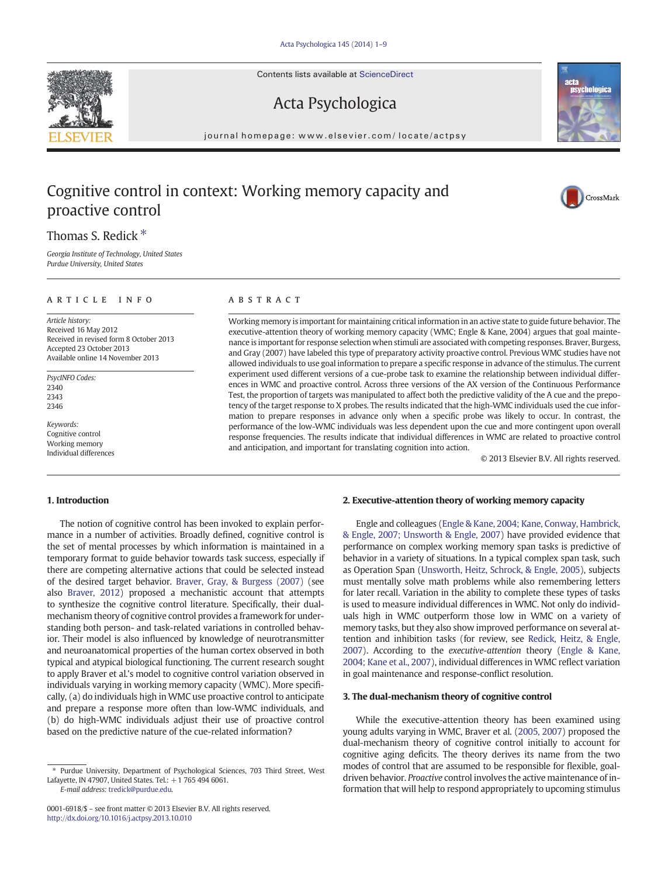Contents lists available at ScienceDirect

## Acta Psychologica

journal homepage: www.elsevier.com/ locate/actpsy

## Cognitive control in context: Working memory capacity and proactive control

### Thomas S. Redick<sup>\*</sup>

Georgia Institute of Technology, United States Purdue University, United States

#### article info abstract

Article history: Received 16 May 2012 Received in revised form 8 October 2013 Accepted 23 October 2013 Available online 14 November 2013

PsycINFO Codes: 2340 2343 2346

Keywords: Cognitive control Working memory Individual differences

Working memory is important for maintaining critical information in an active state to guide future behavior. The executive-attention theory of working memory capacity (WMC; Engle & Kane, 2004) argues that goal maintenance is important for response selection when stimuli are associated with competing responses. Braver, Burgess, and Gray (2007) have labeled this type of preparatory activity proactive control. Previous WMC studies have not allowed individuals to use goal information to prepare a specific response in advance of the stimulus. The current experiment used different versions of a cue-probe task to examine the relationship between individual differences in WMC and proactive control. Across three versions of the AX version of the Continuous Performance Test, the proportion of targets was manipulated to affect both the predictive validity of the A cue and the prepotency of the target response to X probes. The results indicated that the high-WMC individuals used the cue information to prepare responses in advance only when a specific probe was likely to occur. In contrast, the performance of the low-WMC individuals was less dependent upon the cue and more contingent upon overall response frequencies. The results indicate that individual differences in WMC are related to proactive control and anticipation, and important for translating cognition into action.

© 2013 Elsevier B.V. All rights reserved.

### 1. Introduction

The notion of cognitive control has been invoked to explain performance in a number of activities. Broadly defined, cognitive control is the set of mental processes by which information is maintained in a temporary format to guide behavior towards task success, especially if there are competing alternative actions that could be selected instead of the desired target behavior. [Braver, Gray, & Burgess \(2007\)](#page--1-0) (see also [Braver, 2012\)](#page--1-0) proposed a mechanistic account that attempts to synthesize the cognitive control literature. Specifically, their dualmechanism theory of cognitive control provides a framework for understanding both person- and task-related variations in controlled behavior. Their model is also influenced by knowledge of neurotransmitter and neuroanatomical properties of the human cortex observed in both typical and atypical biological functioning. The current research sought to apply Braver et al.'s model to cognitive control variation observed in individuals varying in working memory capacity (WMC). More specifically, (a) do individuals high in WMC use proactive control to anticipate and prepare a response more often than low-WMC individuals, and (b) do high-WMC individuals adjust their use of proactive control based on the predictive nature of the cue-related information?

E-mail address: [tredick@purdue.edu](mailto:tredick@purdue.edu).

### 2. Executive-attention theory of working memory capacity

Engle and colleagues [\(Engle & Kane, 2004; Kane, Conway, Hambrick,](#page--1-0) [& Engle, 2007; Unsworth & Engle, 2007](#page--1-0)) have provided evidence that performance on complex working memory span tasks is predictive of behavior in a variety of situations. In a typical complex span task, such as Operation Span [\(Unsworth, Heitz, Schrock, & Engle, 2005](#page--1-0)), subjects must mentally solve math problems while also remembering letters for later recall. Variation in the ability to complete these types of tasks is used to measure individual differences in WMC. Not only do individuals high in WMC outperform those low in WMC on a variety of memory tasks, but they also show improved performance on several attention and inhibition tasks (for review, see [Redick, Heitz, & Engle,](#page--1-0) [2007](#page--1-0)). According to the executive-attention theory ([Engle & Kane,](#page--1-0) [2004; Kane et al., 2007](#page--1-0)), individual differences in WMC reflect variation in goal maintenance and response-conflict resolution.

#### 3. The dual-mechanism theory of cognitive control

While the executive-attention theory has been examined using young adults varying in WMC, Braver et al. [\(2005, 2007\)](#page--1-0) proposed the dual-mechanism theory of cognitive control initially to account for cognitive aging deficits. The theory derives its name from the two modes of control that are assumed to be responsible for flexible, goaldriven behavior. Proactive control involves the active maintenance of information that will help to respond appropriately to upcoming stimulus





CrossMark

<sup>⁎</sup> Purdue University, Department of Psychological Sciences, 703 Third Street, West Lafayette, IN 47907, United States. Tel.: +1 765 494 6061.

<sup>0001-6918/\$</sup> – see front matter © 2013 Elsevier B.V. All rights reserved. <http://dx.doi.org/10.1016/j.actpsy.2013.10.010>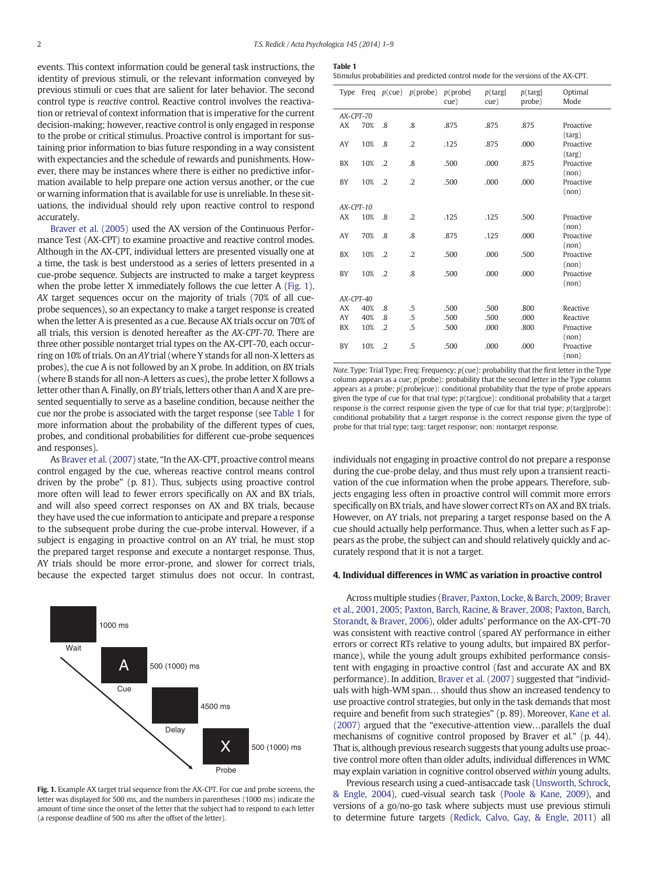events. This context information could be general task instructions, the identity of previous stimuli, or the relevant information conveyed by previous stimuli or cues that are salient for later behavior. The second control type is reactive control. Reactive control involves the reactivation or retrieval of context information that is imperative for the current decision-making; however, reactive control is only engaged in response to the probe or critical stimulus. Proactive control is important for sustaining prior information to bias future responding in a way consistent with expectancies and the schedule of rewards and punishments. However, there may be instances where there is either no predictive information available to help prepare one action versus another, or the cue or warning information that is available for use is unreliable. In these situations, the individual should rely upon reactive control to respond accurately.

[Braver et al. \(2005\)](#page--1-0) used the AX version of the Continuous Performance Test (AX-CPT) to examine proactive and reactive control modes. Although in the AX-CPT, individual letters are presented visually one at a time, the task is best understood as a series of letters presented in a cue-probe sequence. Subjects are instructed to make a target keypress when the probe letter X immediately follows the cue letter A (Fig. 1). AX target sequences occur on the majority of trials (70% of all cueprobe sequences), so an expectancy to make a target response is created when the letter A is presented as a cue. Because AX trials occur on 70% of all trials, this version is denoted hereafter as the AX-CPT-70. There are three other possible nontarget trial types on the AX-CPT-70, each occurring on 10% of trials. On an AY trial (where Y stands for all non-X letters as probes), the cue A is not followed by an X probe. In addition, on BX trials (where B stands for all non-A letters as cues), the probe letter X follows a letter other than A. Finally, on BY trials, letters other than A and X are presented sequentially to serve as a baseline condition, because neither the cue nor the probe is associated with the target response (see Table 1 for more information about the probability of the different types of cues, probes, and conditional probabilities for different cue-probe sequences and responses).

As [Braver et al. \(2007\)](#page--1-0) state, "In the AX-CPT, proactive control means control engaged by the cue, whereas reactive control means control driven by the probe" (p. 81). Thus, subjects using proactive control more often will lead to fewer errors specifically on AX and BX trials, and will also speed correct responses on AX and BX trials, because they have used the cue information to anticipate and prepare a response to the subsequent probe during the cue-probe interval. However, if a subject is engaging in proactive control on an AY trial, he must stop the prepared target response and execute a nontarget response. Thus, AY trials should be more error-prone, and slower for correct trials, because the expected target stimulus does not occur. In contrast,



Fig. 1. Example AX target trial sequence from the AX-CPT. For cue and probe screens, the letter was displayed for 500 ms, and the numbers in parentheses (1000 ms) indicate the amount of time since the onset of the letter that the subject had to respond to each letter (a response deadline of 500 ms after the offset of the letter).

|--|--|

Stimulus probabilities and predicted control mode for the versions of the AX-CPT.

|              | Type         |     |                 | Freq $p(\text{cue})$ $p(\text{probe})$ | $p$ (probe)<br>cue) | $p(\text{targ})$<br>cue) | $p$ (targ<br>probe) | Optimal<br>Mode     |  |  |
|--------------|--------------|-----|-----------------|----------------------------------------|---------------------|--------------------------|---------------------|---------------------|--|--|
| $AX$ -CPT-70 |              |     |                 |                                        |                     |                          |                     |                     |  |  |
|              | AX           | 70% | $\mathcal{S}$   | .8                                     | .875                | .875                     | .875                | Proactive<br>(targ) |  |  |
|              | AY           | 10% | .8              | $\cdot$ .2                             | .125                | .875                     | .000                | Proactive<br>(targ) |  |  |
|              | <b>BX</b>    | 10% | $\overline{2}$  | .8                                     | .500                | .000                     | .875                | Proactive<br>(non)  |  |  |
|              | BY           | 10% | .2              | $\overline{2}$                         | .500                | .000                     | .000                | Proactive<br>(non)  |  |  |
| $AX$ -CPT-10 |              |     |                 |                                        |                     |                          |                     |                     |  |  |
|              | <b>AX</b>    | 10% | $\mathcal{S}$   | $\cdot$ .2                             | .125                | .125                     | .500                | Proactive           |  |  |
|              |              |     |                 |                                        |                     |                          |                     | (non)               |  |  |
|              | AY           | 70% | .8              | .8                                     | .875                | .125                     | .000                | Proactive<br>(non)  |  |  |
|              | BX           | 10% | $\overline{2}$  | $\cdot$ .2                             | .500                | .000                     | .500                | Proactive           |  |  |
|              |              |     |                 |                                        |                     |                          |                     | (non)               |  |  |
|              | <b>BY</b>    | 10% | .2              | .8                                     | .500                | .000                     | .000                | Proactive<br>(non)  |  |  |
|              |              |     |                 |                                        |                     |                          |                     |                     |  |  |
|              | $AX$ -CPT-40 |     |                 |                                        |                     |                          |                     |                     |  |  |
|              | AX           | 40% | .8              | .5                                     | .500                | .500                     | .800                | Reactive            |  |  |
|              | AY           | 40% | $\overline{8}$  | .5                                     | .500                | .500                     | .000                | Reactive            |  |  |
|              | <b>BX</b>    | 10% | $\overline{.2}$ | .5                                     | .500                | .000                     | .800                | Proactive<br>(non)  |  |  |
|              | <b>BY</b>    | 10% | .2              | .5                                     | .500                | .000                     | .000                | Proactive<br>(non)  |  |  |

Note. Type: Trial Type; Freq: Frequency; p(cue): probability that the first letter in the Type column appears as a cue;  $p$ (probe): probability that the second letter in the Type column appears as a probe;  $p$ (probe|cue): conditional probability that the type of probe appears given the type of cue for that trial type; p(targ|cue): conditional probability that a target response is the correct response given the type of cue for that trial type;  $p$ (targ|probe): conditional probability that a target response is the correct response given the type of probe for that trial type; targ: target response; non: nontarget response.

individuals not engaging in proactive control do not prepare a response during the cue-probe delay, and thus must rely upon a transient reactivation of the cue information when the probe appears. Therefore, subjects engaging less often in proactive control will commit more errors specifically on BX trials, and have slower correct RTs on AX and BX trials. However, on AY trials, not preparing a target response based on the A cue should actually help performance. Thus, when a letter such as F appears as the probe, the subject can and should relatively quickly and accurately respond that it is not a target.

#### 4. Individual differences in WMC as variation in proactive control

Across multiple studies ([Braver, Paxton, Locke, & Barch, 2009; Braver](#page--1-0) [et al., 2001, 2005; Paxton, Barch, Racine, & Braver, 2008; Paxton, Barch,](#page--1-0) [Storandt, & Braver, 2006](#page--1-0)), older adults' performance on the AX-CPT-70 was consistent with reactive control (spared AY performance in either errors or correct RTs relative to young adults, but impaired BX performance), while the young adult groups exhibited performance consistent with engaging in proactive control (fast and accurate AX and BX performance). In addition, [Braver et al. \(2007\)](#page--1-0) suggested that "individuals with high-WM span… should thus show an increased tendency to use proactive control strategies, but only in the task demands that most require and benefit from such strategies" (p. 89). Moreover, [Kane et al.](#page--1-0) [\(2007\)](#page--1-0) argued that the "executive-attention view…parallels the dual mechanisms of cognitive control proposed by Braver et al." (p. 44). That is, although previous research suggests that young adults use proactive control more often than older adults, individual differences in WMC may explain variation in cognitive control observed within young adults.

Previous research using a cued-antisaccade task [\(Unsworth, Schrock,](#page--1-0) [& Engle, 2004](#page--1-0)), cued-visual search task [\(Poole & Kane, 2009](#page--1-0)), and versions of a go/no-go task where subjects must use previous stimuli to determine future targets ([Redick, Calvo, Gay, & Engle, 2011\)](#page--1-0) all